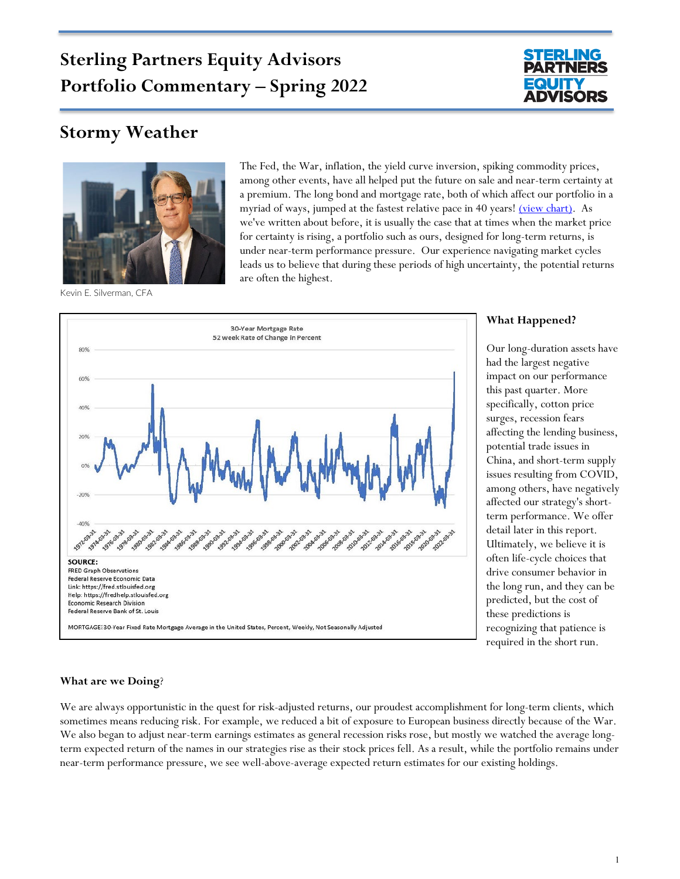# **Sterling Partners Equity Advisors Portfolio Commentary – Spring 2022**



# **Stormy Weather**



Kevin E. Silverman, CFA

The Fed, the War, inflation, the yield curve inversion, spiking commodity prices, among other events, have all helped put the future on sale and near-term certainty at a premium. The long bond and mortgage rate, both of which affect our portfolio in a myriad of ways, jumped at the fastest relative pace in 40 years! [\(view chart\).](https://www.sterlingpartnersea.com/wp-content/uploads/2022/04/Mortgage-Rate-Graphic-v3.png) As we've written about before, it is usually the case that at times when the market price for certainty is rising, a portfolio such as ours, designed for long-term returns, is under near-term performance pressure. Our experience navigating market cycles leads us to believe that during these periods of high uncertainty, the potential returns are often the highest.



MORTGAGE: 30-Year Fixed Rate Mortgage Average in the United States, Percent, Weekly, Not Seasonally Adjusted

#### **What Happened?**

Our long-duration assets have had the largest negative impact on our performance this past quarter. More specifically, cotton price surges, recession fears affecting the lending business, potential trade issues in China, and short-term supply issues resulting from COVID, among others, have negatively affected our strategy's shortterm performance. We offer detail later in this report. Ultimately, we believe it is often life-cycle choices that drive consumer behavior in the long run, and they can be predicted, but the cost of these predictions is recognizing that patience is required in the short run.

#### **What are we Doing**?

We are always opportunistic in the quest for risk-adjusted returns, our proudest accomplishment for long-term clients, which sometimes means reducing risk. For example, we reduced a bit of exposure to European business directly because of the War. We also began to adjust near-term earnings estimates as general recession risks rose, but mostly we watched the average longterm expected return of the names in our strategies rise as their stock prices fell. As a result, while the portfolio remains under near-term performance pressure, we see well-above-average expected return estimates for our existing holdings.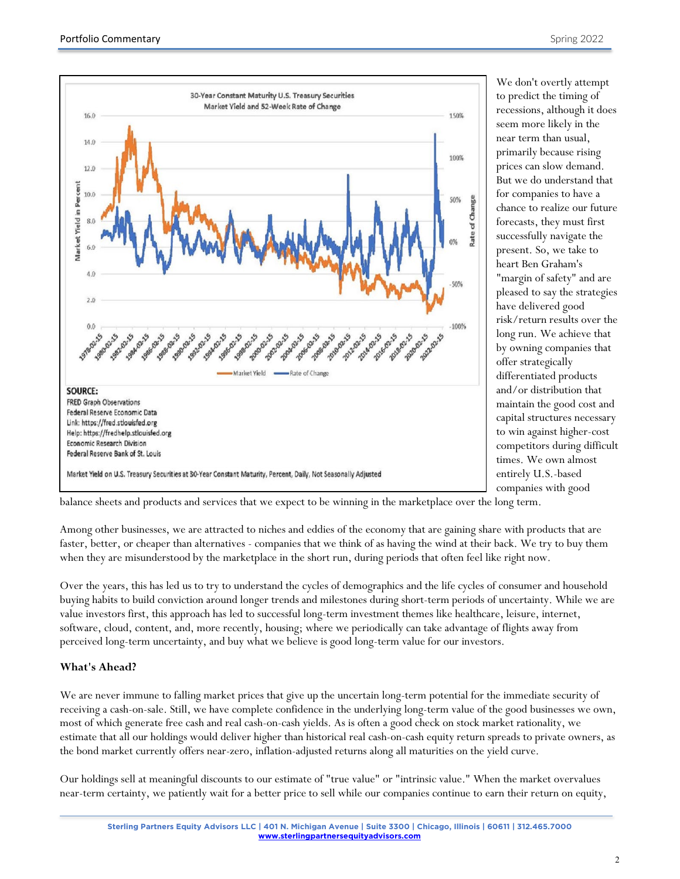We don't overtly attempt



Federal Reserve Economic Data Link: https://fred.stlouisfed.org Help: https://fredhelp.stlouisfed.org **Economic Research Division** Federal Reserve Bank of St. Louis

Market Yield on U.S. Treasury Securities at 30-Year Constant Maturity, Percent, Daily, Not Seasonally Adjusted

balance sheets and products and services that we expect to be winning in the marketplace over the long term.

Among other businesses, we are attracted to niches and eddies of the economy that are gaining share with products that are faster, better, or cheaper than alternatives - companies that we think of as having the wind at their back. We try to buy them when they are misunderstood by the marketplace in the short run, during periods that often feel like right now.

Over the years, this has led us to try to understand the cycles of demographics and the life cycles of consumer and household buying habits to build conviction around longer trends and milestones during short-term periods of uncertainty. While we are value investors first, this approach has led to successful long-term investment themes like healthcare, leisure, internet, software, cloud, content, and, more recently, housing; where we periodically can take advantage of flights away from perceived long-term uncertainty, and buy what we believe is good long-term value for our investors.

#### **What's Ahead?**

We are never immune to falling market prices that give up the uncertain long-term potential for the immediate security of receiving a cash-on-sale. Still, we have complete confidence in the underlying long-term value of the good businesses we own, most of which generate free cash and real cash-on-cash yields. As is often a good check on stock market rationality, we estimate that all our holdings would deliver higher than historical real cash-on-cash equity return spreads to private owners, as the bond market currently offers near-zero, inflation-adjusted returns along all maturities on the yield curve.

Our holdings sell at meaningful discounts to our estimate of "true value" or "intrinsic value." When the market overvalues near-term certainty, we patiently wait for a better price to sell while our companies continue to earn their return on equity,

to predict the timing of recessions, although it does seem more likely in the near term than usual, primarily because rising prices can slow demand. But we do understand that for companies to have a chance to realize our future forecasts, they must first successfully navigate the present. So, we take to heart Ben Graham's "margin of safety" and are pleased to say the strategies have delivered good risk/return results over the long run. We achieve that by owning companies that offer strategically differentiated products and/or distribution that maintain the good cost and capital structures necessary to win against higher-cost competitors during difficult times. We own almost entirely U.S.-based companies with good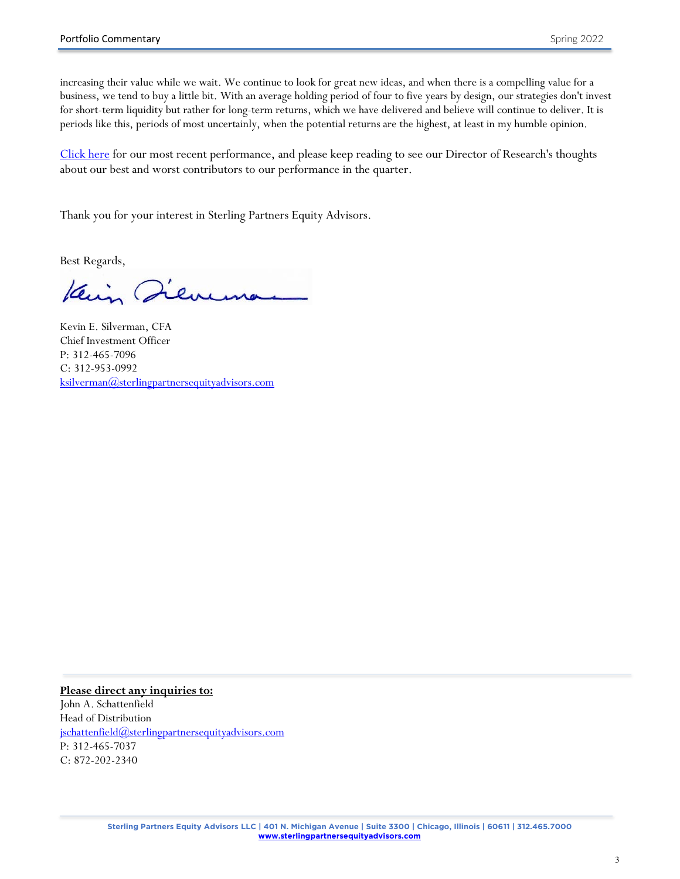increasing their value while we wait. We continue to look for great new ideas, and when there is a compelling value for a business, we tend to buy a little bit. With an average holding period of four to five years by design, our strategies don't invest for short-term liquidity but rather for long-term returns, which we have delivered and believe will continue to deliver. It is periods like this, periods of most uncertainly, when the potential returns are the highest, at least in my humble opinion.

[Click here](https://www.sterlingpartnersea.com/wp-content/uploads/2022/04/Perf-2022-03-31.pdf) for our most recent performance, and please keep reading to see our Director of Research's thoughts about our best and worst contributors to our performance in the quarter.

Thank you for your interest in Sterling Partners Equity Advisors.

Best Regards,

Kein Jeven

Kevin E. Silverman, CFA Chief Investment Officer P: 312-465-7096 C: 312-953-0992 [ksilverman@sterlingpartnersequityadvisors.com](mailto:ksilverman@sterlingpartnersequityadvisors.com)

**Please direct any inquiries to:**  John A. Schattenfield Head of Distribution [jschattenfield@sterlingpartnersequityadvisors.com](mailto:jschattenfield@sterlingpartnersequityadvisors.com) P: 312-465-7037 C: 872-202-2340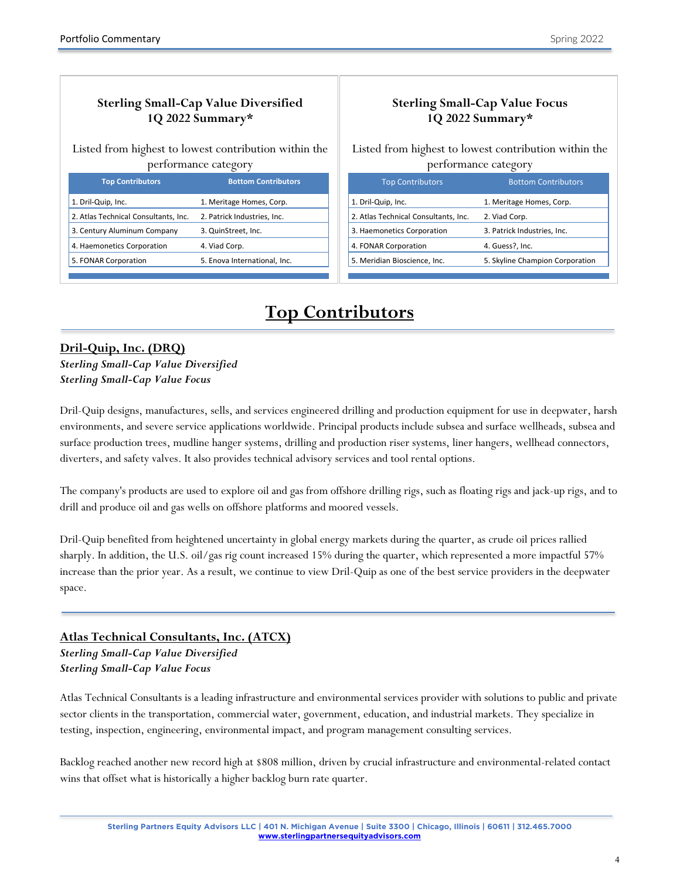# **Sterling Small-Cap Value Diversified 1Q 2022 Summary\***

Listed from highest to lowest contribution within the performance category

| <b>Top Contributors</b>              | <b>Bottom Contributors</b>   |
|--------------------------------------|------------------------------|
| 1. Dril-Quip, Inc.                   | 1. Meritage Homes, Corp.     |
| 2. Atlas Technical Consultants, Inc. | 2. Patrick Industries, Inc.  |
| 3. Century Aluminum Company          | 3. QuinStreet, Inc.          |
| 4. Haemonetics Corporation           | 4. Viad Corp.                |
| 5. FONAR Corporation                 | 5. Enova International, Inc. |
|                                      |                              |

# **Sterling Small-Cap Value Focus 1Q 2022 Summary\***

Listed from highest to lowest contribution within the performance category

| <b>Top Contributors</b>              | <b>Bottom Contributors</b>      |
|--------------------------------------|---------------------------------|
| 1. Dril-Quip, Inc.                   | 1. Meritage Homes, Corp.        |
| 2. Atlas Technical Consultants, Inc. | 2. Viad Corp.                   |
| 3. Haemonetics Corporation           | 3. Patrick Industries, Inc.     |
| 4. FONAR Corporation                 | 4. Guess?, Inc.                 |
| 5. Meridian Bioscience, Inc.         | 5. Skyline Champion Corporation |
|                                      |                                 |

Ī

# **Top Contributors**

# **Dril-Quip, Inc. (DRQ)**

j

*Sterling Small-Cap Value Diversified Sterling Small-Cap Value Focus*

Dril-Quip designs, manufactures, sells, and services engineered drilling and production equipment for use in deepwater, harsh environments, and severe service applications worldwide. Principal products include subsea and surface wellheads, subsea and surface production trees, mudline hanger systems, drilling and production riser systems, liner hangers, wellhead connectors, diverters, and safety valves. It also provides technical advisory services and tool rental options.

The company's products are used to explore oil and gas from offshore drilling rigs, such as floating rigs and jack-up rigs, and to drill and produce oil and gas wells on offshore platforms and moored vessels.

Dril-Quip benefited from heightened uncertainty in global energy markets during the quarter, as crude oil prices rallied sharply. In addition, the U.S. oil/gas rig count increased 15% during the quarter, which represented a more impactful 57% increase than the prior year. As a result, we continue to view Dril-Quip as one of the best service providers in the deepwater space.

## **Atlas Technical Consultants, Inc. (ATCX)**

*Sterling Small-Cap Value Diversified Sterling Small-Cap Value Focus*

Atlas Technical Consultants is a leading infrastructure and environmental services provider with solutions to public and private sector clients in the transportation, commercial water, government, education, and industrial markets. They specialize in testing, inspection, engineering, environmental impact, and program management consulting services.

Backlog reached another new record high at \$808 million, driven by crucial infrastructure and environmental-related contact wins that offset what is historically a higher backlog burn rate quarter.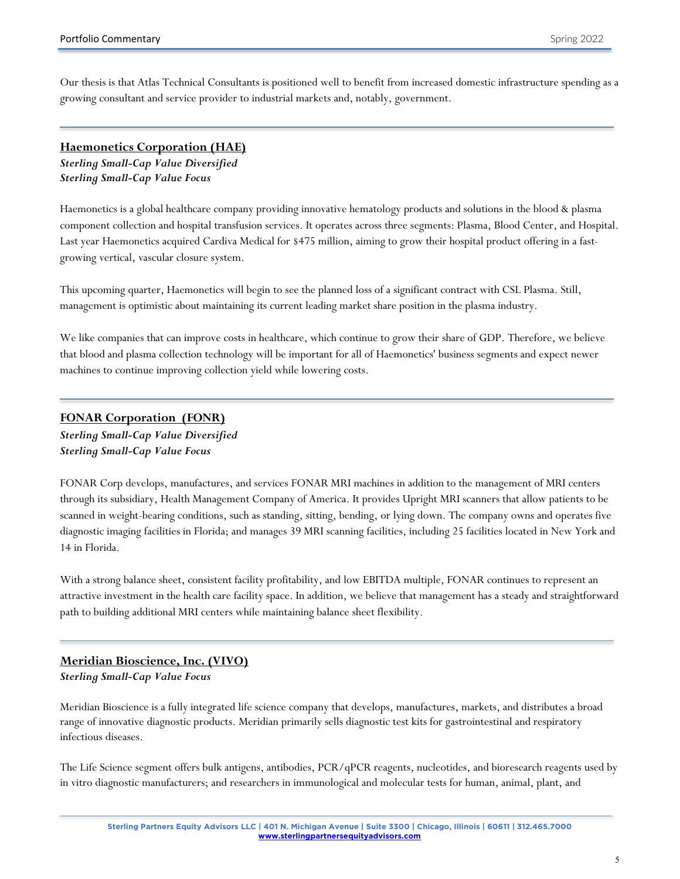Our thesis is that Atlas Technical Consultants is positioned well to benefit from increased domestic infrastructure spending as a growing consultant and service provider to industrial markets and, notably, government.

#### **Haemonetics Corporation (HAE)**

*Sterling Small-Cap Value Diversified Sterling Small-Cap Value Focus*

Haemonetics is a global healthcare company providing innovative hematology products and solutions in the blood & plasma component collection and hospital transfusion services. It operates across three segments: Plasma, Blood Center, and Hospital. Last year Haemonetics acquired Cardiva Medical for \$475 million, aiming to grow their hospital product offering in a fastgrowing vertical, vascular closure system.

This upcoming quarter, Haemonetics will begin to see the planned loss of a significant contract with CSL Plasma. Still, management is optimistic about maintaining its current leading market share position in the plasma industry.

We like companies that can improve costs in healthcare, which continue to grow their share of GDP. Therefore, we believe that blood and plasma collection technology will be important for all of Haemonetics' business segments and expect newer machines to continue improving collection yield while lowering costs.

#### **FONAR Corporation (FONR)**

*Sterling Small-Cap Value Diversified Sterling Small-Cap Value Focus*

FONAR Corp develops, manufactures, and services FONAR MRI machines in addition to the management of MRI centers through its subsidiary, Health Management Company of America. It provides Upright MRI scanners that allow patients to be scanned in weight-bearing conditions, such as standing, sitting, bending, or lying down. The company owns and operates five diagnostic imaging facilities in Florida; and manages 39 MRI scanning facilities, including 25 facilities located in New York and 14 in Florida.

With a strong balance sheet, consistent facility profitability, and low EBITDA multiple, FONAR continues to represent an attractive investment in the health care facility space. In addition, we believe that management has a steady and straightforward path to building additional MRI centers while maintaining balance sheet flexibility.

#### **Meridian Bioscience, Inc. (VIVO)**  *Sterling Small-Cap Value Focus*

Meridian Bioscience is a fully integrated life science company that develops, manufactures, markets, and distributes a broad range of innovative diagnostic products. Meridian primarily sells diagnostic test kits for gastrointestinal and respiratory infectious diseases.

The Life Science segment offers bulk antigens, antibodies, PCR/qPCR reagents, nucleotides, and bioresearch reagents used by in vitro diagnostic manufacturers; and researchers in immunological and molecular tests for human, animal, plant, and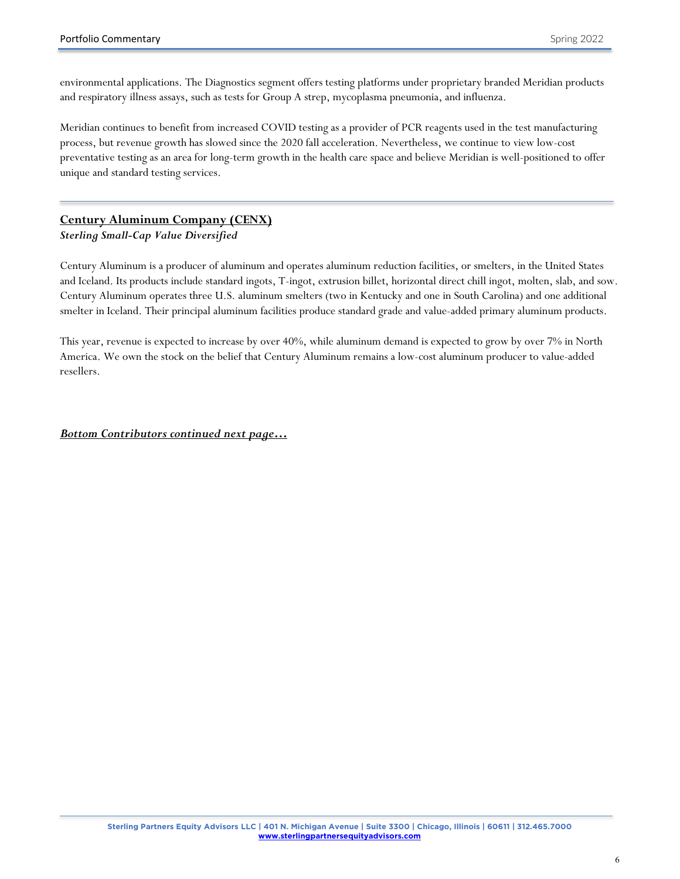environmental applications. The Diagnostics segment offers testing platforms under proprietary branded Meridian products and respiratory illness assays, such as tests for Group A strep, mycoplasma pneumonia, and influenza.

Meridian continues to benefit from increased COVID testing as a provider of PCR reagents used in the test manufacturing process, but revenue growth has slowed since the 2020 fall acceleration. Nevertheless, we continue to view low-cost preventative testing as an area for long-term growth in the health care space and believe Meridian is well-positioned to offer unique and standard testing services.

#### **Century Aluminum Company (CENX)**

*Sterling Small-Cap Value Diversified*

Century Aluminum is a producer of aluminum and operates aluminum reduction facilities, or smelters, in the United States and Iceland. Its products include standard ingots, T-ingot, extrusion billet, horizontal direct chill ingot, molten, slab, and sow. Century Aluminum operates three U.S. aluminum smelters (two in Kentucky and one in South Carolina) and one additional smelter in Iceland. Their principal aluminum facilities produce standard grade and value-added primary aluminum products.

This year, revenue is expected to increase by over 40%, while aluminum demand is expected to grow by over 7% in North America. We own the stock on the belief that Century Aluminum remains a low-cost aluminum producer to value-added resellers.

*Bottom Contributors continued next page…*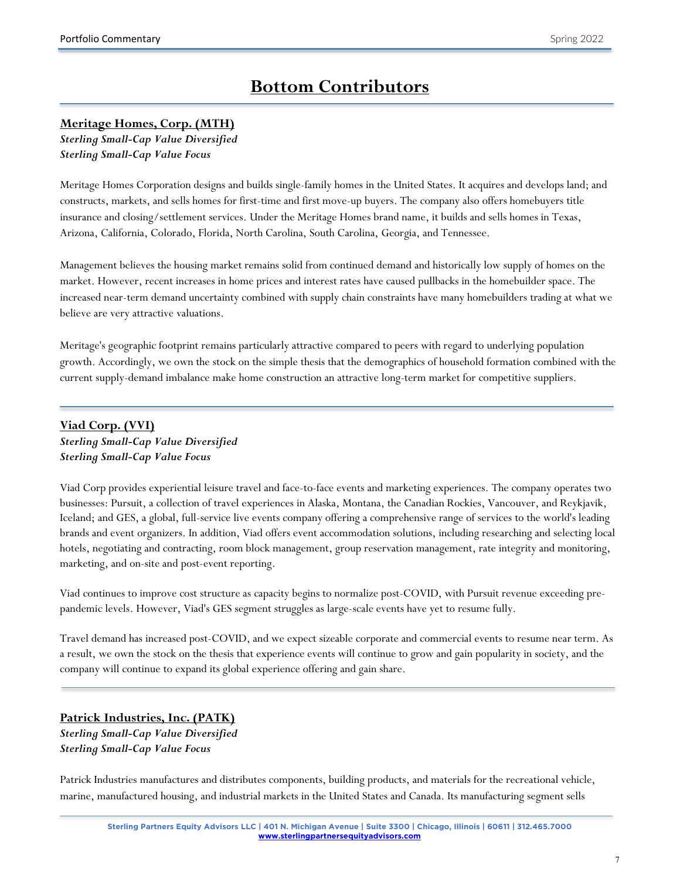# **Bottom Contributors**

#### **Meritage Homes, Corp. (MTH)**

*Sterling Small-Cap Value Diversified Sterling Small-Cap Value Focus*

Meritage Homes Corporation designs and builds single-family homes in the United States. It acquires and develops land; and constructs, markets, and sells homes for first-time and first move-up buyers. The company also offers homebuyers title insurance and closing/settlement services. Under the Meritage Homes brand name, it builds and sells homes in Texas, Arizona, California, Colorado, Florida, North Carolina, South Carolina, Georgia, and Tennessee.

Management believes the housing market remains solid from continued demand and historically low supply of homes on the market. However, recent increases in home prices and interest rates have caused pullbacks in the homebuilder space. The increased near-term demand uncertainty combined with supply chain constraints have many homebuilders trading at what we believe are very attractive valuations.

Meritage's geographic footprint remains particularly attractive compared to peers with regard to underlying population growth. Accordingly, we own the stock on the simple thesis that the demographics of household formation combined with the current supply-demand imbalance make home construction an attractive long-term market for competitive suppliers.

## **Viad Corp. (VVI)**  *Sterling Small-Cap Value Diversified Sterling Small-Cap Value Focus*

Viad Corp provides experiential leisure travel and face-to-face events and marketing experiences. The company operates two businesses: Pursuit, a collection of travel experiences in Alaska, Montana, the Canadian Rockies, Vancouver, and Reykjavik, Iceland; and GES, a global, full-service live events company offering a comprehensive range of services to the world's leading brands and event organizers. In addition, Viad offers event accommodation solutions, including researching and selecting local hotels, negotiating and contracting, room block management, group reservation management, rate integrity and monitoring, marketing, and on-site and post-event reporting.

Viad continues to improve cost structure as capacity begins to normalize post-COVID, with Pursuit revenue exceeding prepandemic levels. However, Viad's GES segment struggles as large-scale events have yet to resume fully.

Travel demand has increased post-COVID, and we expect sizeable corporate and commercial events to resume near term. As a result, we own the stock on the thesis that experience events will continue to grow and gain popularity in society, and the company will continue to expand its global experience offering and gain share.

## **Patrick Industries, Inc. (PATK)**  *Sterling Small-Cap Value Diversified Sterling Small-Cap Value Focus*

Patrick Industries manufactures and distributes components, building products, and materials for the recreational vehicle, marine, manufactured housing, and industrial markets in the United States and Canada. Its manufacturing segment sells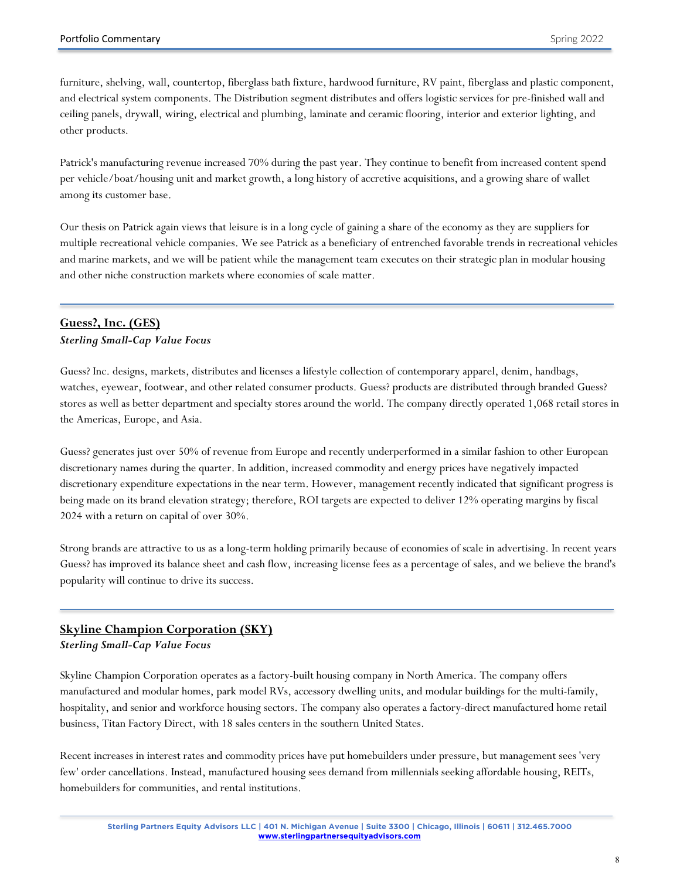furniture, shelving, wall, countertop, fiberglass bath fixture, hardwood furniture, RV paint, fiberglass and plastic component, and electrical system components. The Distribution segment distributes and offers logistic services for pre-finished wall and ceiling panels, drywall, wiring, electrical and plumbing, laminate and ceramic flooring, interior and exterior lighting, and other products.

Patrick's manufacturing revenue increased 70% during the past year. They continue to benefit from increased content spend per vehicle/boat/housing unit and market growth, a long history of accretive acquisitions, and a growing share of wallet among its customer base.

Our thesis on Patrick again views that leisure is in a long cycle of gaining a share of the economy as they are suppliers for multiple recreational vehicle companies. We see Patrick as a beneficiary of entrenched favorable trends in recreational vehicles and marine markets, and we will be patient while the management team executes on their strategic plan in modular housing and other niche construction markets where economies of scale matter.

## **Guess?, Inc. (GES)**  *Sterling Small-Cap Value Focus*

Guess? Inc. designs, markets, distributes and licenses a lifestyle collection of contemporary apparel, denim, handbags, watches, eyewear, footwear, and other related consumer products. Guess? products are distributed through branded Guess? stores as well as better department and specialty stores around the world. The company directly operated 1,068 retail stores in the Americas, Europe, and Asia.

Guess? generates just over 50% of revenue from Europe and recently underperformed in a similar fashion to other European discretionary names during the quarter. In addition, increased commodity and energy prices have negatively impacted discretionary expenditure expectations in the near term. However, management recently indicated that significant progress is being made on its brand elevation strategy; therefore, ROI targets are expected to deliver 12% operating margins by fiscal 2024 with a return on capital of over 30%.

Strong brands are attractive to us as a long-term holding primarily because of economies of scale in advertising. In recent years Guess? has improved its balance sheet and cash flow, increasing license fees as a percentage of sales, and we believe the brand's popularity will continue to drive its success.

## **Skyline Champion Corporation (SKY)**

*Sterling Small-Cap Value Focus*

Skyline Champion Corporation operates as a factory-built housing company in North America. The company offers manufactured and modular homes, park model RVs, accessory dwelling units, and modular buildings for the multi-family, hospitality, and senior and workforce housing sectors. The company also operates a factory-direct manufactured home retail business, Titan Factory Direct, with 18 sales centers in the southern United States.

Recent increases in interest rates and commodity prices have put homebuilders under pressure, but management sees 'very few' order cancellations. Instead, manufactured housing sees demand from millennials seeking affordable housing, REITs, homebuilders for communities, and rental institutions.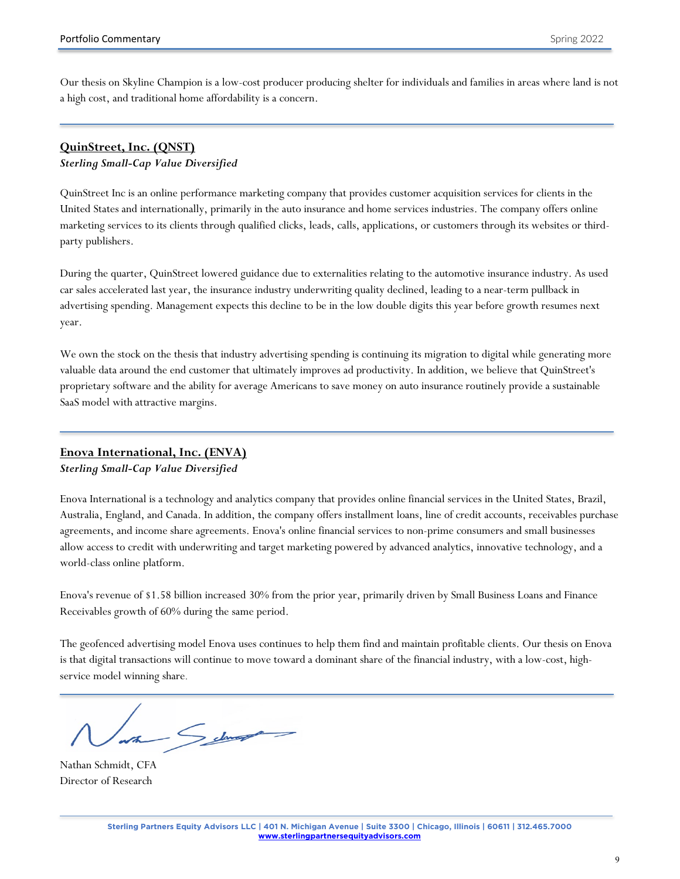Our thesis on Skyline Champion is a low-cost producer producing shelter for individuals and families in areas where land is not a high cost, and traditional home affordability is a concern.

# **QuinStreet, Inc. (QNST)**

#### *Sterling Small-Cap Value Diversified*

QuinStreet Inc is an online performance marketing company that provides customer acquisition services for clients in the United States and internationally, primarily in the auto insurance and home services industries. The company offers online marketing services to its clients through qualified clicks, leads, calls, applications, or customers through its websites or thirdparty publishers.

During the quarter, QuinStreet lowered guidance due to externalities relating to the automotive insurance industry. As used car sales accelerated last year, the insurance industry underwriting quality declined, leading to a near-term pullback in advertising spending. Management expects this decline to be in the low double digits this year before growth resumes next year.

We own the stock on the thesis that industry advertising spending is continuing its migration to digital while generating more valuable data around the end customer that ultimately improves ad productivity. In addition, we believe that QuinStreet's proprietary software and the ability for average Americans to save money on auto insurance routinely provide a sustainable SaaS model with attractive margins.

# **Enova International, Inc. (ENVA)**

## *Sterling Small-Cap Value Diversified*

Enova International is a technology and analytics company that provides online financial services in the United States, Brazil, Australia, England, and Canada. In addition, the company offers installment loans, line of credit accounts, receivables purchase agreements, and income share agreements. Enova's online financial services to non-prime consumers and small businesses allow access to credit with underwriting and target marketing powered by advanced analytics, innovative technology, and a world-class online platform.

Enova's revenue of \$1.58 billion increased 30% from the prior year, primarily driven by Small Business Loans and Finance Receivables growth of 60% during the same period.

The geofenced advertising model Enova uses continues to help them find and maintain profitable clients. Our thesis on Enova is that digital transactions will continue to move toward a dominant share of the financial industry, with a low-cost, highservice model winning share.

wa Selmont

Nathan Schmidt, CFA Director of Research